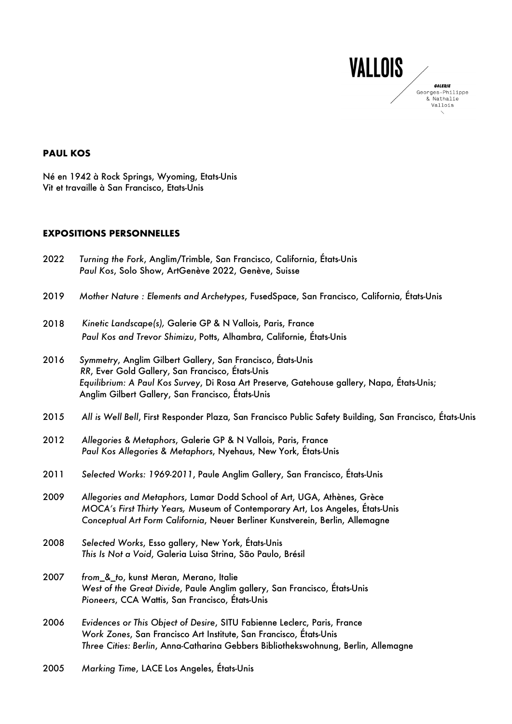

### **PAUL KOS**

Né en 1942 à Rock Springs, Wyoming, Etats-Unis Vit et travaille à San Francisco, Etats-Unis

### **EXPOSITIONS PERSONNELLES**

| 2022 | Turning the Fork, Anglim/Trimble, San Francisco, California, Etats-Unis<br>Paul Kos, Solo Show, ArtGenève 2022, Genève, Suisse                                                                                                                                     |
|------|--------------------------------------------------------------------------------------------------------------------------------------------------------------------------------------------------------------------------------------------------------------------|
| 2019 | Mother Nature: Elements and Archetypes, FusedSpace, San Francisco, California, États-Unis                                                                                                                                                                          |
| 2018 | Kinetic Landscape(s), Galerie GP & N Vallois, Paris, France<br>Paul Kos and Trevor Shimizu, Potts, Alhambra, Californie, États-Unis                                                                                                                                |
| 2016 | Symmetry, Anglim Gilbert Gallery, San Francisco, États-Unis<br>RR, Ever Gold Gallery, San Francisco, États-Unis<br>Equilibrium: A Paul Kos Survey, Di Rosa Art Preserve, Gatehouse gallery, Napa, États-Unis;<br>Anglim Gilbert Gallery, San Francisco, États-Unis |
| 2015 | All is Well Bell, First Responder Plaza, San Francisco Public Safety Building, San Francisco, États-Unis                                                                                                                                                           |
| 2012 | Allegories & Metaphors, Galerie GP & N Vallois, Paris, France<br>Paul Kos Allegories & Metaphors, Nyehaus, New York, États-Unis                                                                                                                                    |
| 2011 | Selected Works: 1969-2011, Paule Anglim Gallery, San Francisco, États-Unis                                                                                                                                                                                         |
| 2009 | Allegories and Metaphors, Lamar Dodd School of Art, UGA, Athènes, Grèce<br>MOCA's First Thirty Years, Museum of Contemporary Art, Los Angeles, Etats-Unis<br>Conceptual Art Form California, Neuer Berliner Kunstverein, Berlin, Allemagne                         |
| 2008 | Selected Works, Esso gallery, New York, États-Unis<br>This Is Not a Void, Galeria Luisa Strina, São Paulo, Brésil                                                                                                                                                  |
| 2007 | from_&_to, kunst Meran, Merano, Italie<br>West of the Great Divide, Paule Anglim gallery, San Francisco, États-Unis<br>Pioneers, CCA Wattis, San Francisco, États-Unis                                                                                             |
| 2006 | Evidences or This Object of Desire, SITU Fabienne Leclerc, Paris, France<br>Work Zones, San Francisco Art Institute, San Francisco, États-Unis<br>Three Cities: Berlin, Anna-Catharina Gebbers Bibliothekswohnung, Berlin, Allemagne                               |
|      |                                                                                                                                                                                                                                                                    |

2005 *Marking Time*, LACE Los Angeles, États-Unis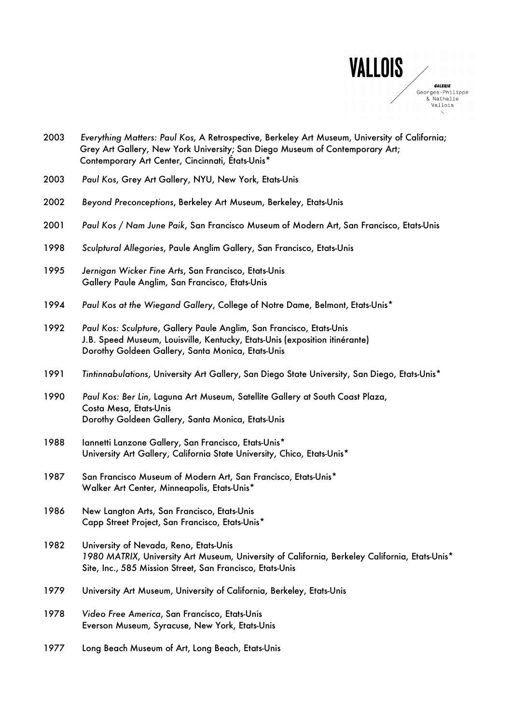

| 2003 | Everything Matters: Paul Kos, A Retrospective, Berkeley Art Museum, University of California;<br>Grey Art Gallery, New York University; San Diego Museum of Contemporary Art;<br>Contemporary Art Center, Cincinnati, États-Unis* |
|------|-----------------------------------------------------------------------------------------------------------------------------------------------------------------------------------------------------------------------------------|
| 2003 | Paul Kos, Grey Art Gallery, NYU, New York, Etats-Unis                                                                                                                                                                             |
| 2002 | Beyond Preconceptions, Berkeley Art Museum, Berkeley, Etats-Unis                                                                                                                                                                  |
| 2001 | Paul Kos / Nam June Paik, San Francisco Museum of Modern Art, San Francisco, Etats-Unis                                                                                                                                           |
| 1998 | Sculptural Allegories, Paule Anglim Gallery, San Francisco, Etats-Unis                                                                                                                                                            |
| 1995 | Jernigan Wicker Fine Arts, San Francisco, Etats-Unis<br>Gallery Paule Anglim, San Francisco, Etats-Unis                                                                                                                           |
| 1994 | Paul Kos at the Wiegand Gallery, College of Notre Dame, Belmont, Etats-Unis*                                                                                                                                                      |
| 1992 | Paul Kos: Sculpture, Gallery Paule Anglim, San Francisco, Etats-Unis<br>J.B. Speed Museum, Louisville, Kentucky, Etats-Unis (exposition itinérante)<br>Dorothy Goldeen Gallery, Santa Monica, Etats-Unis                          |
| 1991 | Tintinnabulations, University Art Gallery, San Diego State University, San Diego, Etats-Unis*                                                                                                                                     |
| 1990 | Paul Kos: Ber Lin, Laguna Art Museum, Satellite Gallery at South Coast Plaza,<br>Costa Mesa, Etats-Unis<br>Dorothy Goldeen Gallery, Santa Monica, Etats-Unis                                                                      |
| 1988 | Iannetti Lanzone Gallery, San Francisco, Etats-Unis*<br>University Art Gallery, California State University, Chico, Etats-Unis*                                                                                                   |
| 1987 | San Francisco Museum of Modern Art, San Francisco, Etats-Unis*<br>Walker Art Center, Minneapolis, Etats-Unis*                                                                                                                     |
| 1986 | New Langton Arts, San Francisco, Etats-Unis<br>Capp Street Project, San Francisco, Etats-Unis*                                                                                                                                    |
| 1982 | University of Nevada, Reno, Etats-Unis<br>1980 MATRIX, University Art Museum, University of California, Berkeley California, Etats-Unis*<br>Site, Inc., 585 Mission Street, San Francisco, Etats-Unis                             |
| 1979 | University Art Museum, University of California, Berkeley, Etats-Unis                                                                                                                                                             |
| 1978 | Video Free America, San Francisco, Etats-Unis<br>Everson Museum, Syracuse, New York, Etats-Unis                                                                                                                                   |
| 1977 | Long Beach Museum of Art, Long Beach, Etats-Unis                                                                                                                                                                                  |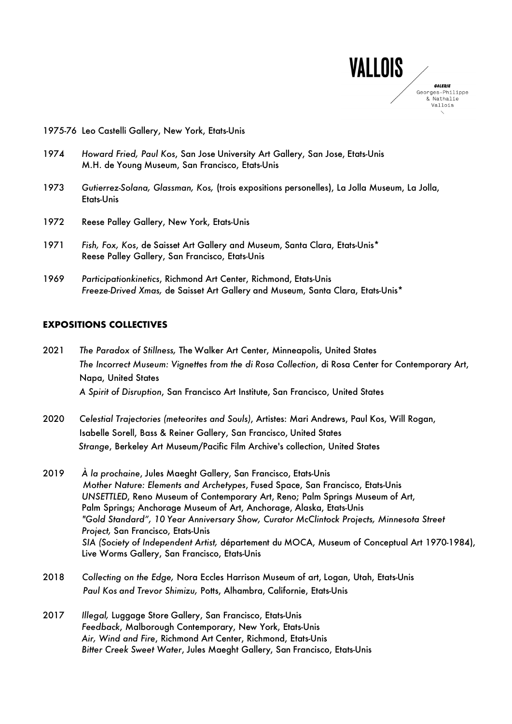

#### 1975-76 Leo Castelli Gallery, New York, Etats-Unis

- 1974 *Howard Fried, Paul Kos*, San Jose University Art Gallery, San Jose, Etats-Unis M.H. de Young Museum, San Francisco, Etats-Unis
- 1973 *Gutierrez-Solana, Glassman, Kos,* (trois expositions personelles), La Jolla Museum, La Jolla, Etats-Unis
- 1972 Reese Palley Gallery, New York, Etats-Unis
- 1971 *Fish, Fox, Kos*, de Saisset Art Gallery and Museum, Santa Clara, Etats-Unis\* Reese Palley Gallery, San Francisco, Etats-Unis
- 1969 *Participationkinetics*, Richmond Art Center, Richmond, Etats-Unis *Freeze-Drived Xmas,* de Saisset Art Gallery and Museum, Santa Clara, Etats-Unis\*

### **EXPOSITIONS COLLECTIVES**

- 2021 *The Paradox of Stillness,* The Walker Art Center, Minneapolis, United States *The Incorrect Museum: Vignettes from the di Rosa Collection*, di Rosa Center for Contemporary Art, Napa, United States *A Spirit of Disruption*, San Francisco Art Institute, San Francisco, United States
- 2020 *Celestial Trajectories (meteorites and Souls)*, Artistes: Mari Andrews, Paul Kos, Will Rogan, Isabelle Sorell, Bass & Reiner Gallery, San Francisco, United States *Strange*, Berkeley Art Museum/Pacific Film Archive's collection, United States
- 2019 *À la prochaine*, Jules Maeght Gallery, San Francisco, Etats-Unis *Mother Nature: Elements and Archetypes*, Fused Space, San Francisco, Etats-Unis *UNSETTLED*, Reno Museum of Contemporary Art, Reno; Palm Springs Museum of Art, Palm Springs; Anchorage Museum of Art, Anchorage, Alaska, Etats-Unis *"Gold Standard", 10 Year Anniversary Show, Curator McClintock Projects, Minnesota Street Project,* San Francisco, Etats-Unis *SIA (Society of Independent Artist,* département du MOCA, Museum of Conceptual Art 1970-1984), Live Worms Gallery, San Francisco, Etats-Unis
- 2018 *Collecting on the Edge,* Nora Eccles Harrison Museum of art, Logan, Utah, Etats-Unis *Paul Kos and Trevor Shimizu,* Potts, Alhambra, Californie, Etats-Unis
- 2017 *Illegal,* Luggage Store Gallery, San Francisco, Etats-Unis *Feedback*, Malborough Contemporary, New York, Etats-Unis *Air, Wind and Fire*, Richmond Art Center, Richmond, Etats-Unis *Bitter Creek Sweet Water*, Jules Maeght Gallery, San Francisco, Etats-Unis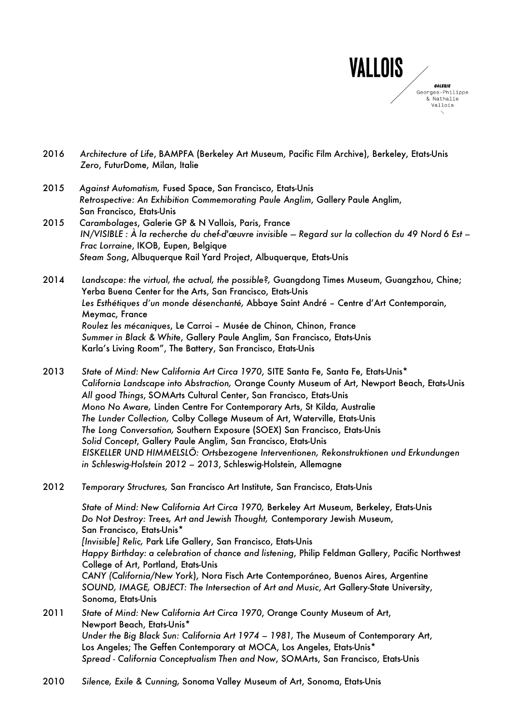

- 2016 *Architecture of Life*, BAMPFA (Berkeley Art Museum, Pacific Film Archive), Berkeley, Etats-Unis *Zero*, FuturDome, Milan, Italie
- 2015 *Against Automatism,* Fused Space, San Francisco, Etats-Unis *Retrospective: An Exhibition Commemorating Paule Anglim*, Gallery Paule Anglim, San Francisco, Etats-Unis
- 2015 *Carambolages*, Galerie GP & N Vallois, Paris, France *IN/VISIBLE : À la recherche du chef-d'œuvre invisible — Regard sur la collection du 49 Nord 6 Est – Frac Lorraine*, IKOB, Eupen, Belgique *Steam Song*, Albuquerque Rail Yard Project, Albuquerque, Etats-Unis
- 2014 *Landscape: the virtual, the actual, the possible?,* Guangdong Times Museum, Guangzhou, Chine; Yerba Buena Center for the Arts, San Francisco, Etats-Unis *Les Esthétiques d'un monde désenchanté,* Abbaye Saint André – Centre d'Art Contemporain, Meymac, France *Roulez les mécaniques*, Le Carroi – Musée de Chinon, Chinon, France *Summer in Black & White*, Gallery Paule Anglim, San Francisco, Etats-Unis Karla's Living Room", The Battery, San Francisco, Etats-Unis
- 2013 *State of Mind: New California Art Circa 1970*, SITE Santa Fe, Santa Fe, Etats-Unis\* *California Landscape into Abstraction,* Orange County Museum of Art, Newport Beach, Etats-Unis *All good Things*, SOMArts Cultural Center, San Francisco, Etats-Unis *Mono No Aware,* Linden Centre For Contemporary Arts, St Kilda, Australie *The Lunder Collection,* Colby College Museum of Art, Waterville, Etats-Unis *The Long Conversation,* Southern Exposure (SOEX) San Francisco, Etats-Unis *Solid Concept*, Gallery Paule Anglim, San Francisco, Etats-Unis *EISKELLER UND HIMMELSLÖ: Ortsbezogene Interventionen, Rekonstruktionen und Erkundungen in Schleswig-Holstein 2012 – 2013*, Schleswig-Holstein, Allemagne
- 2012 *Temporary Structures,* San Francisco Art Institute, San Francisco, Etats-Unis

*State of Mind: New California Art Circa 1970,* Berkeley Art Museum, Berkeley, Etats-Unis *Do Not Destroy: Trees, Art and Jewish Thought,* Contemporary Jewish Museum, San Francisco, Etats-Unis\* *[Invisible] Relic,* Park Life Gallery, San Francisco, Etats-Unis *Happy Birthday: a celebration of chance and listening*, Philip Feldman Gallery, Pacific Northwest College of Art, Portland, Etats-Unis *CANY (California/New York*), Nora Fisch Arte Contemporáneo, Buenos Aires, Argentine *SOUND, IMAGE, OBJECT: The Intersection of Art and Music*, Art Gallery-State University, Sonoma, Etats-Unis 2011 *State of Mind: New California Art Circa 1970*, Orange County Museum of Art, Newport Beach, Etats-Unis\*

*Under the Big Black Sun: California Art 1974 – 1981,* The Museum of Contemporary Art, Los Angeles; The Geffen Contemporary at MOCA, Los Angeles, Etats-Unis\* *Spread - California Conceptualism Then and Now*, SOMArts, San Francisco, Etats-Unis

2010 *Silence, Exile & Cunning,* Sonoma Valley Museum of Art, Sonoma, Etats-Unis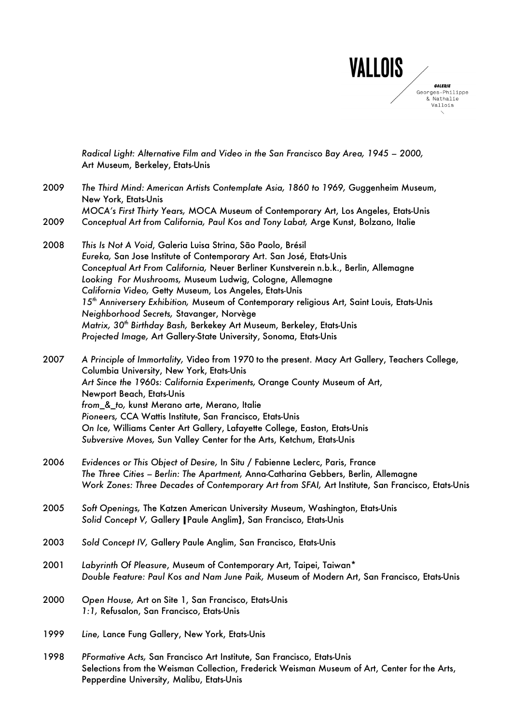

*Radical Light: Alternative Film and Video in the San Francisco Bay Area, 1945 – 2000,* Art Museum, Berkeley, Etats-Unis

2009 *The Third Mind: American Artists Contemplate Asia, 1860 to 1969,* Guggenheim Museum, New York, Etats-Unis *MOCA's First Thirty Years,* MOCA Museum of Contemporary Art, Los Angeles, Etats-Unis

2009 *Conceptual Art from California, Paul Kos and Tony Labat,* Arge Kunst, Bolzano, Italie

2008 *This Is Not A Void*, Galeria Luisa Strina, São Paolo, Brésil *Eureka,* San Jose Institute of Contemporary Art. San José, Etats-Unis *Conceptual Art From California,* Neuer Berliner Kunstverein n.b.k., Berlin, Allemagne *Looking For Mushrooms,* Museum Ludwig, Cologne, Allemagne *California Video,* Getty Museum, Los Angeles, Etats-Unis *15th Anniversery Exhibition,* Museum of Contemporary religious Art, Saint Louis, Etats-Unis *Neighborhood Secrets,* Stavanger, Norvège *Matrix, 30th Birthday Bash,* Berkekey Art Museum, Berkeley, Etats-Unis *Projected Image,* Art Gallery-State University, Sonoma, Etats-Unis

2007 *A Principle of Immortality,* Video from 1970 to the present. Macy Art Gallery, Teachers College, Columbia University, New York, Etats-Unis *Art Since the 1960s: California Experiments,* Orange County Museum of Art, Newport Beach, Etats-Unis *from\_&\_to,* kunst Merano arte, Merano, Italie *Pioneers,* CCA Wattis Institute, San Francisco, Etats-Unis *On Ice,* Williams Center Art Gallery, Lafayette College, Easton, Etats-Unis *Subversive Moves,* Sun Valley Center for the Arts, Ketchum, Etats-Unis

- 2006 *Evidences or This Object of Desire,* In Situ / Fabienne Leclerc, Paris, France *The Three Cities – Berlin: The Apartment,* Anna-Catharina Gebbers, Berlin, Allemagne *Work Zones: Three Decades of Contemporary Art from SFAI,* Art Institute, San Francisco, Etats-Unis
- 2005 *Soft Openings,* The Katzen American University Museum, Washington, Etats-Unis *Solid Concept V,* Gallery **|**Paule Anglim**}**, San Francisco, Etats-Unis
- 2003 *Sold Concept IV,* Gallery Paule Anglim, San Francisco, Etats-Unis
- 2001 *Labyrinth Of Pleasure*, Museum of Contemporary Art, Taipei, Taiwan\* *Double Feature: Paul Kos and Nam June Paik,* Museum of Modern Art, San Francisco, Etats-Unis
- 2000 *Open House,* Art on Site 1, San Francisco, Etats-Unis *1:1,* Refusalon, San Francisco, Etats-Unis
- 1999 *Line,* Lance Fung Gallery, New York, Etats-Unis
- 1998 *PFormative Acts,* San Francisco Art Institute, San Francisco, Etats-Unis Selections from the Weisman Collection, Frederick Weisman Museum of Art, Center for the Arts, Pepperdine University, Malibu, Etats-Unis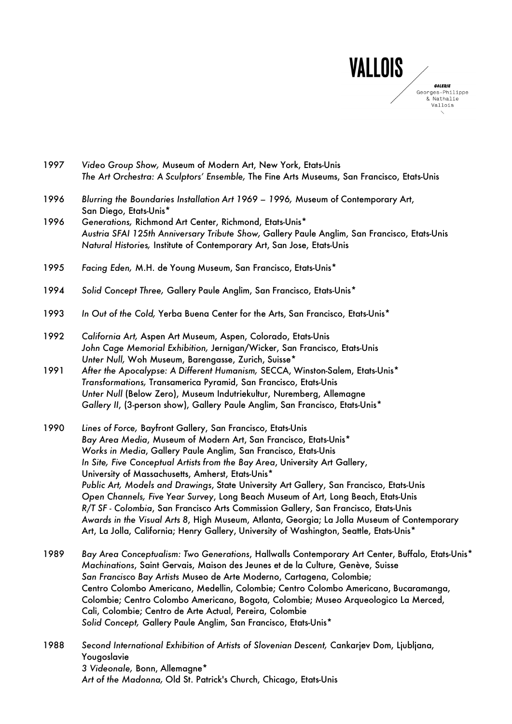

- 1997 *Video Group Show,* Museum of Modern Art, New York, Etats-Unis *The Art Orchestra: A Sculptors' Ensemble,* The Fine Arts Museums, San Francisco, Etats-Unis
- 1996 *Blurring the Boundaries Installation Art 1969 1996,* Museum of Contemporary Art, San Diego, Etats-Unis\*
- 1996 *Generations,* Richmond Art Center, Richmond, Etats-Unis\* *Austria SFAI 125th Anniversary Tribute Show,* Gallery Paule Anglim, San Francisco, Etats-Unis *Natural Histories,* Institute of Contemporary Art, San Jose, Etats-Unis
- 1995 *Facing Eden,* M.H. de Young Museum, San Francisco, Etats-Unis\*
- 1994 *Solid Concept Three,* Gallery Paule Anglim, San Francisco, Etats-Unis\*
- 1993 *In Out of the Cold,* Yerba Buena Center for the Arts, San Francisco, Etats-Unis\*
- 1992 *California Art,* Aspen Art Museum, Aspen, Colorado, Etats-Unis *John Cage Memorial Exhibition,* Jernigan/Wicker, San Francisco, Etats-Unis *Unter Null,* Woh Museum, Barengasse, Zurich, Suisse\*
- 1991 *After the Apocalypse: A Different Humanism,* SECCA, Winston-Salem, Etats-Unis\* *Transformations,* Transamerica Pyramid, San Francisco, Etats-Unis *Unter Null* (Below Zero), Museum Indutriekultur, Nuremberg, Allemagne *Gallery II*, (3-person show), Gallery Paule Anglim, San Francisco, Etats-Unis\*
- 1990 *Lines of Force,* Bayfront Gallery, San Francisco, Etats-Unis *Bay Area Media*, Museum of Modern Art, San Francisco, Etats-Unis\* *Works in Media*, Gallery Paule Anglim, San Francisco, Etats-Unis *In Site, Five Conceptual Artists from the Bay Area*, University Art Gallery, University of Massachusetts, Amherst, Etats-Unis\* *Public Art, Models and Drawings*, State University Art Gallery, San Francisco, Etats-Unis *Open Channels, Five Year Survey*, Long Beach Museum of Art, Long Beach, Etats-Unis *R/T SF - Colombia*, San Francisco Arts Commission Gallery, San Francisco, Etats-Unis *Awards in the Visual Arts 8*, High Museum, Atlanta, Georgia; La Jolla Museum of Contemporary Art, La Jolla, California; Henry Gallery, University of Washington, Seattle, Etats-Unis\*
- 1989 *Bay Area Conceptualism: Two Generations*, Hallwalls Contemporary Art Center, Buffalo, Etats-Unis\* *Machinations*, Saint Gervais, Maison des Jeunes et de la Culture, Genève, Suisse *San Francisco Bay Artists* Museo de Arte Moderno, Cartagena, Colombie; Centro Colombo Americano, Medellin, Colombie; Centro Colombo Americano, Bucaramanga, Colombie; Centro Colombo Americano, Bogota, Colombie; Museo Arqueologico La Merced, Cali, Colombie; Centro de Arte Actual, Pereira, Colombie *Solid Concept,* Gallery Paule Anglim, San Francisco, Etats-Unis\*
- 1988 *Second International Exhibition of Artists of Slovenian Descent,* Cankarjev Dom, Ljubljana, Yougoslavie *3 Videonale,* Bonn, Allemagne\* *Art of the Madonna,* Old St. Patrick's Church, Chicago, Etats-Unis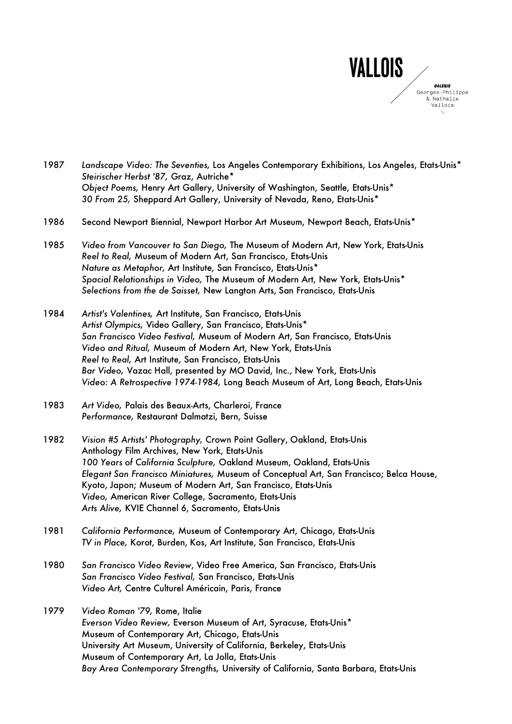

| 1987 | Landscape Video: The Seventies, Los Angeles Contemporary Exhibitions, Los Angeles, Etats-Unis* |
|------|------------------------------------------------------------------------------------------------|
|      | Steirischer Herbst '87, Graz, Autriche*                                                        |
|      | Object Poems, Henry Art Gallery, University of Washington, Seattle, Etats-Unis*                |
|      | 30 From 25, Sheppard Art Gallery, University of Nevada, Reno, Etats-Unis*                      |

- 1986 Second Newport Biennial, Newport Harbor Art Museum, Newport Beach, Etats-Unis\*
- 1985 *Video from Vancouver to San Diego,* The Museum of Modern Art, New York, Etats-Unis *Reel to Real,* Museum of Modern Art, San Francisco, Etats-Unis *Nature as Metaphor,* Art Institute, San Francisco, Etats-Unis\* *Spacial Relationships in Video,* The Museum of Modern Art, New York, Etats-Unis\* *Selections from the de Saisset,* New Langton Arts, San Francisco, Etats-Unis
- 1984 *Artist's Valentines,* Art Institute, San Francisco, Etats-Unis *Artist Olympics,* Video Gallery, San Francisco, Etats-Unis\* *San Francisco Video Festival,* Museum of Modern Art, San Francisco, Etats-Unis *Video and Ritual,* Museum of Modern Art, New York, Etats-Unis *Reel to Real,* Art Institute, San Francisco, Etats-Unis *Bar Video,* Vazac Hall, presented by MO David, Inc., New York, Etats-Unis *Video: A Retrospective 1974-1984,* Long Beach Museum of Art, Long Beach, Etats-Unis
- 1983 *Art Video,* Palais des Beaux-Arts, Charleroi, France *Performance,* Restaurant Dalmatzi, Bern, Suisse
- 1982 *Vision #5 Artists' Photography,* Crown Point Gallery, Oakland, Etats-Unis Anthology Film Archives, New York, Etats-Unis *100 Years of California Sculpture,* Oakland Museum, Oakland, Etats-Unis *Elegant San Francisco Miniatures,* Museum of Conceptual Art, San Francisco; Belca House, Kyoto, Japon; Museum of Modern Art, San Francisco, Etats-Unis *Video,* American River College, Sacramento, Etats-Unis *Arts Alive,* KVIE Channel 6, Sacramento, Etats-Unis
- 1981 *California Performance,* Museum of Contemporary Art, Chicago, Etats-Unis *TV in Place,* Korot, Burden, Kos, Art Institute, San Francisco, Etats-Unis
- 1980 *San Francisco Video Review*, Video Free America, San Francisco, Etats-Unis *San Francisco Video Festival,* San Francisco, Etats-Unis *Video Art,* Centre Culturel Américain, Paris, France
- 1979 *Video Roman '79,* Rome, Italie *Everson Video Review,* Everson Museum of Art, Syracuse, Etats-Unis\* Museum of Contemporary Art, Chicago, Etats-Unis University Art Museum, University of California, Berkeley, Etats-Unis Museum of Contemporary Art, La Jolla, Etats-Unis *Bay Area Contemporary Strengths,* University of California, Santa Barbara, Etats-Unis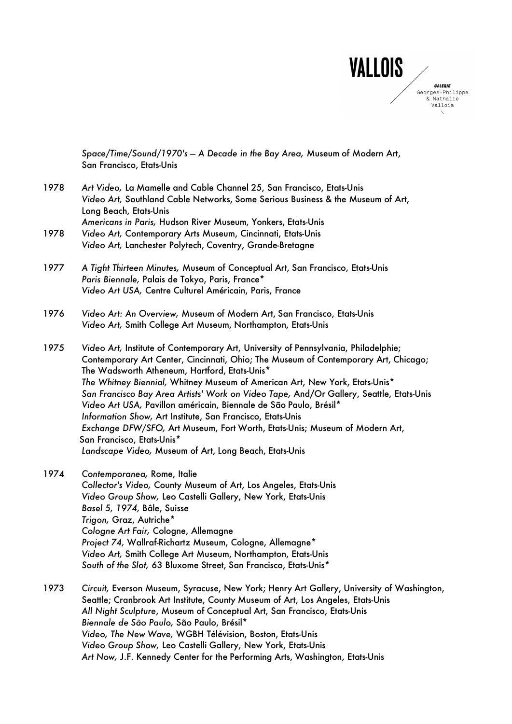

*Space/Time/Sound/1970's — A Decade in the Bay Area,* Museum of Modern Art, San Francisco, Etats-Unis

- 1978 *Art Video,* La Mamelle and Cable Channel 25, San Francisco, Etats-Unis *Video Art,* Southland Cable Networks, Some Serious Business & the Museum of Art, Long Beach, Etats-Unis *Americans in Paris,* Hudson River Museum, Yonkers, Etats-Unis
- 1978 *Video Art,* Contemporary Arts Museum, Cincinnati, Etats-Unis *Video Art,* Lanchester Polytech, Coventry, Grande-Bretagne
- 1977 *A Tight Thirteen Minutes,* Museum of Conceptual Art, San Francisco, Etats-Unis *Paris Biennale,* Palais de Tokyo, Paris, France\* *Video Art USA,* Centre Culturel Américain, Paris, France
- 1976 *Video Art: An Overview,* Museum of Modern Art, San Francisco, Etats-Unis *Video Art,* Smith College Art Museum, Northampton, Etats-Unis
- 1975 *Video Art,* Institute of Contemporary Art, University of Pennsylvania, Philadelphie; Contemporary Art Center, Cincinnati, Ohio; The Museum of Contemporary Art, Chicago; The Wadsworth Atheneum, Hartford, Etats-Unis\* *The Whitney Biennial,* Whitney Museum of American Art, New York, Etats-Unis\* *San Francisco Bay Area Artists' Work on Video Tape,* And/Or Gallery, Seattle, Etats-Unis *Video Art USA,* Pavillon américain, Biennale de São Paulo, Brésil\* *Information Show,* Art Institute, San Francisco, Etats-Unis *Exchange DFW/SFO,* Art Museum, Fort Worth, Etats-Unis; Museum of Modern Art, San Francisco, Etats-Unis\* *Landscape Video,* Museum of Art, Long Beach, Etats-Unis
- 1974 *Contemporanea,* Rome, Italie *Collector's Video,* County Museum of Art, Los Angeles, Etats-Unis *Video Group Show,* Leo Castelli Gallery, New York, Etats-Unis *Basel 5, 1974,* Bâle, Suisse *Trigon,* Graz, Autriche\* *Cologne Art Fair,* Cologne, Allemagne *Project 74,* Wallraf-Richartz Museum, Cologne, Allemagne\* *Video Art,* Smith College Art Museum, Northampton, Etats-Unis *South of the Slot,* 63 Bluxome Street, San Francisco, Etats-Unis\*
- 1973 *Circuit,* Everson Museum, Syracuse, New York; Henry Art Gallery, University of Washington, Seattle; Cranbrook Art Institute, County Museum of Art, Los Angeles, Etats-Unis *All Night Sculpture*, Museum of Conceptual Art, San Francisco, Etats-Unis *Biennale de São Paulo,* São Paulo, Brésil\* *Video, The New Wave,* WGBH Télévision, Boston, Etats-Unis *Video Group Show,* Leo Castelli Gallery, New York, Etats-Unis *Art Now,* J.F. Kennedy Center for the Performing Arts, Washington, Etats-Unis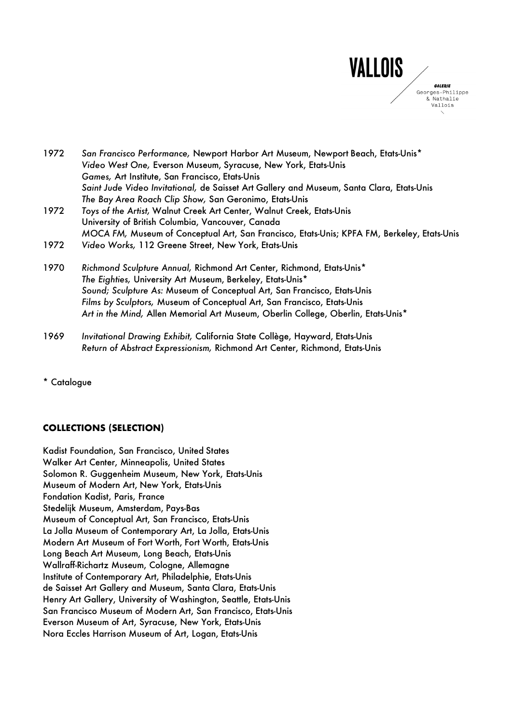

| 1972 | San Francisco Performance, Newport Harbor Art Museum, Newport Beach, Etats-Unis*            |
|------|---------------------------------------------------------------------------------------------|
|      | Video West One, Everson Museum, Syracuse, New York, Etats-Unis                              |
|      | Games, Art Institute, San Francisco, Etats-Unis                                             |
|      | Saint Jude Video Invitational, de Saisset Art Gallery and Museum, Santa Clara, Etats-Unis   |
|      | The Bay Area Roach Clip Show, San Geronimo, Etats-Unis                                      |
| 1972 | Toys of the Artist, Walnut Creek Art Center, Walnut Creek, Etats-Unis                       |
|      | University of British Columbia, Vancouver, Canada                                           |
|      | MOCA FM, Museum of Conceptual Art, San Francisco, Etats-Unis; KPFA FM, Berkeley, Etats-Unis |
| 1972 | Video Works, 112 Greene Street, New York, Etats-Unis                                        |
| 1970 | Richmond Sculpture Annual, Richmond Art Center, Richmond, Etats-Unis*                       |
|      | The Eighties, University Art Museum, Berkeley, Etats-Unis*                                  |
|      | Sound; Sculpture As: Museum of Conceptual Art, San Francisco, Etats-Unis                    |
|      | Films by Sculptors, Museum of Conceptual Art, San Francisco, Etats-Unis                     |
|      | Art in the Mind, Allen Memorial Art Museum, Oberlin College, Oberlin, Etats-Unis*           |
|      |                                                                                             |

1969 *Invitational Drawing Exhibit,* California State Collège, Hayward, Etats-Unis *Return of Abstract Expressionism,* Richmond Art Center, Richmond, Etats-Unis

\* Catalogue

## **COLLECTIONS (SELECTION)**

Kadist Foundation, San Francisco, United States Walker Art Center, Minneapolis, United States Solomon R. Guggenheim Museum, New York, Etats-Unis Museum of Modern Art, New York, Etats-Unis Fondation Kadist, Paris, France Stedelijk Museum, Amsterdam, Pays-Bas Museum of Conceptual Art, San Francisco, Etats-Unis La Jolla Museum of Contemporary Art, La Jolla, Etats-Unis Modern Art Museum of Fort Worth, Fort Worth, Etats-Unis Long Beach Art Museum, Long Beach, Etats-Unis Wallraff-Richartz Museum, Cologne, Allemagne Institute of Contemporary Art, Philadelphie, Etats-Unis de Saisset Art Gallery and Museum, Santa Clara, Etats-Unis Henry Art Gallery, University of Washington, Seattle, Etats-Unis San Francisco Museum of Modern Art, San Francisco, Etats-Unis Everson Museum of Art, Syracuse, New York, Etats-Unis Nora Eccles Harrison Museum of Art, Logan, Etats-Unis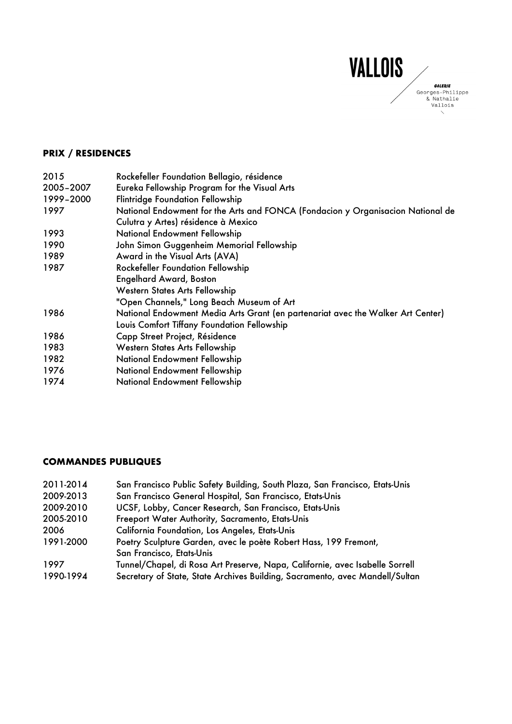

# **PRIX / RESIDENCES**

| 2015      | Rockefeller Foundation Bellagio, résidence                                      |
|-----------|---------------------------------------------------------------------------------|
| 2005-2007 | Eureka Fellowship Program for the Visual Arts                                   |
| 1999-2000 | <b>Flintridge Foundation Fellowship</b>                                         |
| 1997      | National Endowment for the Arts and FONCA (Fondacion y Organisacion National de |
|           | Culutra y Artes) résidence à Mexico                                             |
| 1993      | <b>National Endowment Fellowship</b>                                            |
| 1990      | John Simon Guggenheim Memorial Fellowship                                       |
| 1989      | Award in the Visual Arts (AVA)                                                  |
| 1987      | <b>Rockefeller Foundation Fellowship</b>                                        |
|           | <b>Engelhard Award, Boston</b>                                                  |
|           | <b>Western States Arts Fellowship</b>                                           |
|           | "Open Channels," Long Beach Museum of Art                                       |
| 1986      | National Endowment Media Arts Grant (en partenariat avec the Walker Art Center) |
|           | Louis Comfort Tiffany Foundation Fellowship                                     |
| 1986      | Capp Street Project, Résidence                                                  |
| 1983      | <b>Western States Arts Fellowship</b>                                           |
| 1982      | <b>National Endowment Fellowship</b>                                            |
| 1976      | National Endowment Fellowship                                                   |
| 1974      | National Endowment Fellowship                                                   |
|           |                                                                                 |

### **COMMANDES PUBLIQUES**

| 2011-2014 | San Francisco Public Safety Building, South Plaza, San Francisco, Etats-Unis |
|-----------|------------------------------------------------------------------------------|
| 2009-2013 | San Francisco General Hospital, San Francisco, Etats-Unis                    |
| 2009-2010 | UCSF, Lobby, Cancer Research, San Francisco, Etats-Unis                      |
| 2005-2010 | Freeport Water Authority, Sacramento, Etats-Unis                             |
| 2006      | <b>California Foundation, Los Angeles, Etats-Unis</b>                        |
| 1991-2000 | Poetry Sculpture Garden, avec le poète Robert Hass, 199 Fremont,             |
|           | San Francisco, Etats-Unis                                                    |
| 1997      | Tunnel/Chapel, di Rosa Art Preserve, Napa, Californie, avec Isabelle Sorrell |
| 1990-1994 | Secretary of State, State Archives Building, Sacramento, avec Mandell/Sultan |
|           |                                                                              |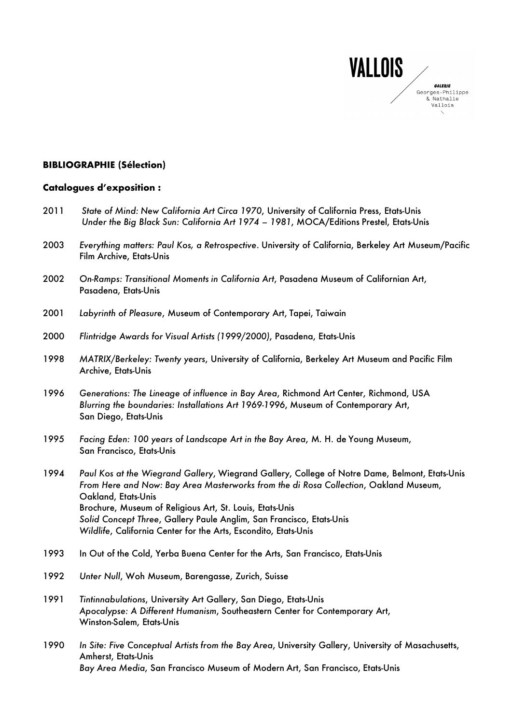

### **BIBLIOGRAPHIE (Sélection)**

# **Catalogues d'exposition :**

| 2011 | State of Mind: New California Art Circa 1970, University of California Press, Etats-Unis<br>Under the Big Black Sun: California Art 1974 - 1981, MOCA/Editions Prestel, Etats-Unis                                                                                                                                                                                                                                   |
|------|----------------------------------------------------------------------------------------------------------------------------------------------------------------------------------------------------------------------------------------------------------------------------------------------------------------------------------------------------------------------------------------------------------------------|
| 2003 | Everything matters: Paul Kos, a Retrospective. University of California, Berkeley Art Museum/Pacific<br>Film Archive, Etats-Unis                                                                                                                                                                                                                                                                                     |
| 2002 | On-Ramps: Transitional Moments in California Art, Pasadena Museum of Californian Art,<br>Pasadena, Etats-Unis                                                                                                                                                                                                                                                                                                        |
| 2001 | Labyrinth of Pleasure, Museum of Contemporary Art, Tapei, Taiwain                                                                                                                                                                                                                                                                                                                                                    |
| 2000 | Flintridge Awards for Visual Artists (1999/2000), Pasadena, Etats-Unis                                                                                                                                                                                                                                                                                                                                               |
| 1998 | MATRIX/Berkeley: Twenty years, University of California, Berkeley Art Museum and Pacific Film<br>Archive, Etats-Unis                                                                                                                                                                                                                                                                                                 |
| 1996 | Generations: The Lineage of influence in Bay Area, Richmond Art Center, Richmond, USA<br>Blurring the boundaries: Installations Art 1969-1996, Museum of Contemporary Art,<br>San Diego, Etats-Unis                                                                                                                                                                                                                  |
| 1995 | Facing Eden: 100 years of Landscape Art in the Bay Area, M. H. de Young Museum,<br>San Francisco, Etats-Unis                                                                                                                                                                                                                                                                                                         |
| 1994 | Paul Kos at the Wiegrand Gallery, Wiegrand Gallery, College of Notre Dame, Belmont, Etats-Unis<br>From Here and Now: Bay Area Masterworks from the di Rosa Collection, Oakland Museum,<br>Oakland, Etats-Unis<br>Brochure, Museum of Religious Art, St. Louis, Etats-Unis<br>Solid Concept Three, Gallery Paule Anglim, San Francisco, Etats-Unis<br>Wildlife, California Center for the Arts, Escondito, Etats-Unis |
| 1993 | In Out of the Cold, Yerba Buena Center for the Arts, San Francisco, Etats-Unis                                                                                                                                                                                                                                                                                                                                       |
| 1992 | Unter Null, Woh Museum, Barengasse, Zurich, Suisse                                                                                                                                                                                                                                                                                                                                                                   |
| 1991 | Tintinnabulations, University Art Gallery, San Diego, Etats-Unis<br>Apocalypse: A Different Humanism, Southeastern Center for Contemporary Art,<br>Winston-Salem, Etats-Unis                                                                                                                                                                                                                                         |
| 1990 | In Site: Five Conceptual Artists from the Bay Area, University Gallery, University of Masachusetts,<br>Amherst, Etats-Unis                                                                                                                                                                                                                                                                                           |

*Bay Area Media*, San Francisco Museum of Modern Art, San Francisco, Etats-Unis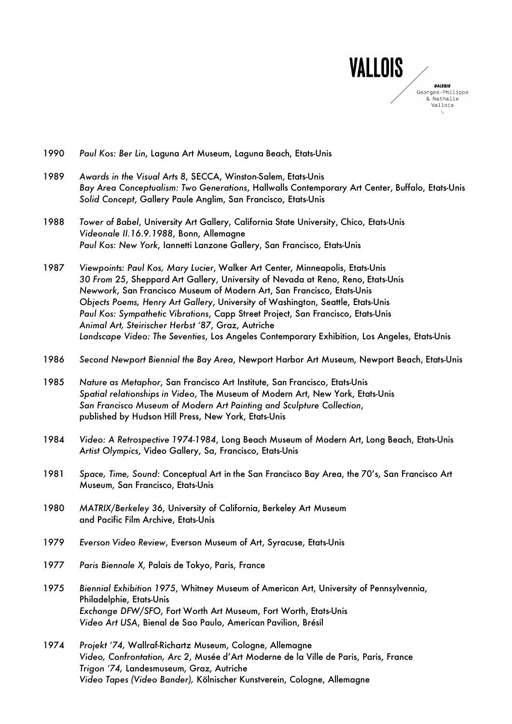

- 1990 *Paul Kos: Ber Lin*, Laguna Art Museum, Laguna Beach, Etats-Unis
- 1989 *Awards in the Visual Arts 8*, SECCA, Winston-Salem, Etats-Unis *Bay Area Conceptualism: Two Generations*, Hallwalls Contemporary Art Center, Buffalo, Etats-Unis *Solid Concept*, Gallery Paule Anglim, San Francisco, Etats-Unis
- 1988 *Tower of Babel*, University Art Gallery, California State University, Chico, Etats-Unis *Videonale II.16.9.1988*, Bonn, Allemagne *Paul Kos: New York*, Iannetti Lanzone Gallery, San Francisco, Etats-Unis
- 1987 *Viewpoints: Paul Kos, Mary Lucier*, Walker Art Center, Minneapolis, Etats-Unis *30 From 25*, Sheppard Art Gallery, University of Nevada at Reno, Reno, Etats-Unis *Newwork*, San Francisco Museum of Modern Art, San Francisco, Etats-Unis *Objects Poems, Henry Art Gallery*, University of Washington, Seattle, Etats-Unis *Paul Kos: Sympathetic Vibrations*, Capp Street Project, San Francisco, Etats-Unis *Animal Art, Steirischer Herbst ʻ87*, Graz, Autriche *Landscape Video: The Seventies*, Los Angeles Contemporary Exhibition, Los Angeles, Etats-Unis
- 1986 *Second Newport Biennial the Bay Area*, Newport Harbor Art Museum, Newport Beach, Etats-Unis
- 1985 *Nature as Metaphor*, San Francisco Art Institute, San Francisco, Etats-Unis *Spatial relationships in Video*, The Museum of Modern Art, New York, Etats-Unis *San Francisco Museum of Modern Art Painting and Sculpture Collection*, published by Hudson Hill Press, New York, Etats-Unis
- 1984 *Video: A Retrospective 1974-1984*, Long Beach Museum of Modern Art, Long Beach, Etats-Unis *Artist Olympics*, Video Gallery, Sa, Francisco, Etats-Unis
- 1981 *Space, Time, Sound*: Conceptual Art in the San Francisco Bay Area, the 70's, San Francisco Art Museum, San Francisco, Etats-Unis
- 1980 *MATRIX/Berkeley 36*, University of California, Berkeley Art Museum and Pacific Film Archive, Etats-Unis
- 1979 *Everson Video Review*, Everson Museum of Art, Syracuse, Etats-Unis
- 1977 *Paris Biennale X*, Palais de Tokyo, Paris, France
- 1975 *Biennial Exhibition 1975*, Whitney Museum of American Art, University of Pennsylvennia, Philadelphie, Etats-Unis *Exchange DFW/SFO*, Fort Worth Art Museum, Fort Worth, Etats-Unis *Video Art USA*, Bienal de Sao Paulo, American Pavilion, Brésil
- 1974 *Projekt '74,* Wallraf-Richartz Museum, Cologne, Allemagne *Video, Confrontation, Arc 2*, Musée d'Art Moderne de la Ville de Paris, Paris, France *Trigon '74,* Landesmuseum, Graz, Autriche *Video Tapes (Video Bander),* Kölnischer Kunstverein, Cologne, Allemagne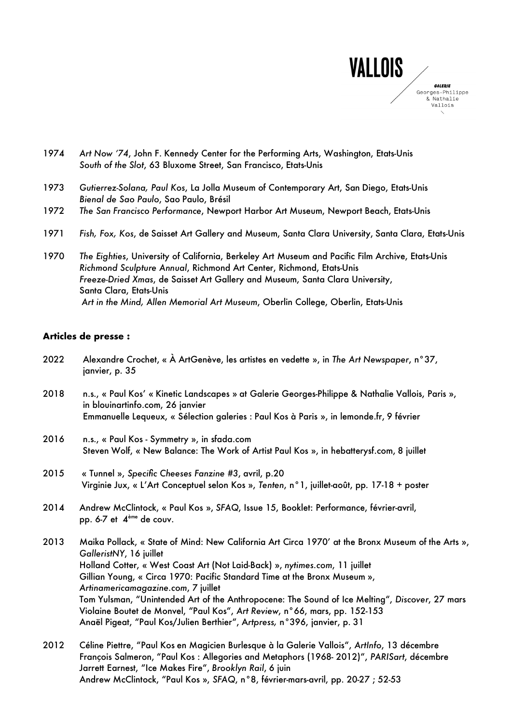

- 1974 *Art Now '74*, John F. Kennedy Center for the Performing Arts, Washington, Etats-Unis *South of the Slot*, 63 Bluxome Street, San Francisco, Etats-Unis
- 1973 *Gutierrez-Solana, Paul Kos*, La Jolla Museum of Contemporary Art, San Diego, Etats-Unis *Bienal de Sao Paulo*, Sao Paulo, Brésil
- 1972 *The San Francisco Performance*, Newport Harbor Art Museum, Newport Beach, Etats-Unis
- 1971 *Fish, Fox, Kos*, de Saisset Art Gallery and Museum, Santa Clara University, Santa Clara, Etats-Unis
- 1970 *The Eighties*, University of California, Berkeley Art Museum and Pacific Film Archive, Etats-Unis *Richmond Sculpture Annual*, Richmond Art Center, Richmond, Etats-Unis *Freeze-Dried Xmas*, de Saisset Art Gallery and Museum, Santa Clara University, Santa Clara, Etats-Unis *Art in the Mind, Allen Memorial Art Museum*, Oberlin College, Oberlin, Etats-Unis

#### **Articles de presse :**

- 2022 Alexandre Crochet, « À ArtGenève, les artistes en vedette », in *The Art Newspaper*, n°37, janvier, p. 35
- 2018 n.s., « Paul Kos' « Kinetic Landscapes » at Galerie Georges-Philippe & Nathalie Vallois, Paris », in blouinartinfo.com, 26 janvier Emmanuelle Lequeux, « Sélection galeries : Paul Kos à Paris », in lemonde.fr, 9 février
- 2016 n.s., « Paul Kos Symmetry », in sfada.com Steven Wolf, « New Balance: The Work of Artist Paul Kos », in hebatterysf.com, 8 juillet
- 2015 « Tunnel », *Specific Cheeses Fanzine #3*, avril, p.20 Virginie Jux, « L'Art Conceptuel selon Kos », *Tenten*, n°1, juillet-août, pp. 17-18 + poster
- 2014 Andrew McClintock, « Paul Kos », *SFAQ*, Issue 15, Booklet: Performance, février-avril, pp. 6-7 et 4 ème de couv.
- 2013 Maika Pollack, « State of Mind: New California Art Circa 1970' at the Bronx Museum of the Arts », *GalleristNY*, 16 juillet Holland Cotter, « West Coast Art (Not Laid-Back) », *nytimes.com*, 11 juillet Gillian Young, « Circa 1970: Pacific Standard Time at the Bronx Museum », *Artinamericamagazine.com*, 7 juillet Tom Yulsman, "Unintended Art of the Anthropocene: The Sound of Ice Melting", *Discover*, 27 mars Violaine Boutet de Monvel, "Paul Kos", *Art Review*, n°66, mars, pp. 152-153 Anaël Pigeat, "Paul Kos/Julien Berthier", A*rtpress,* n°396, janvier, p. 31
- 2012 Céline Piettre, "Paul Kos en Magicien Burlesque à la Galerie Vallois", *ArtInfo*, 13 décembre François Salmeron, "Paul Kos : Allegories and Metaphors (1968- 2012)", *PARISart*, décembre Jarrett Earnest, "Ice Makes Fire", *Brooklyn Rail*, 6 juin Andrew McClintock, "Paul Kos », *SFAQ*, n°8, février-mars-avril, pp. 20-27 ; 52-53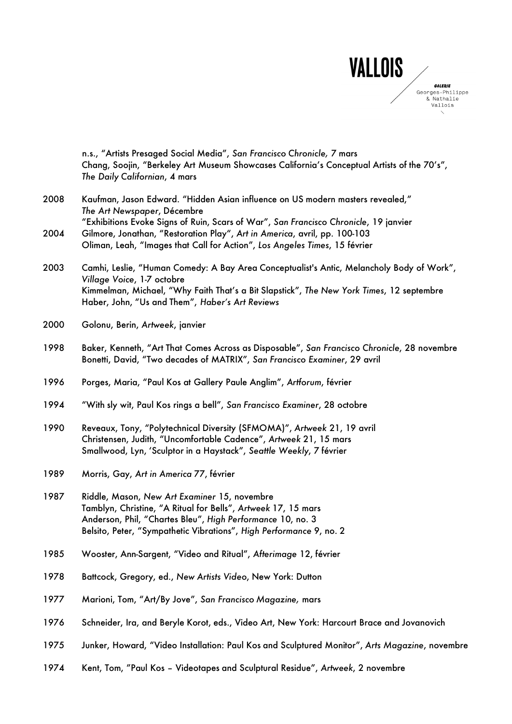

|      | n.s., "Artists Presaged Social Media", San Francisco Chronicle, 7 mars<br>Chang, Soojin, "Berkeley Art Museum Showcases California's Conceptual Artists of the 70's",<br>The Daily Californian, 4 mars                                                                 |
|------|------------------------------------------------------------------------------------------------------------------------------------------------------------------------------------------------------------------------------------------------------------------------|
| 2008 | Kaufman, Jason Edward. "Hidden Asian influence on US modern masters revealed,"<br>The Art Newspaper, Décembre                                                                                                                                                          |
| 2004 | "Exhibitions Evoke Signs of Ruin, Scars of War", San Francisco Chronicle, 19 janvier<br>Gilmore, Jonathan, "Restoration Play", Art in America, avril, pp. 100-103<br>Oliman, Leah, "Images that Call for Action", Los Angeles Times, 15 février                        |
| 2003 | Camhi, Leslie, "Human Comedy: A Bay Area Conceptualist's Antic, Melancholy Body of Work",<br>Village Voice, 1-7 octobre<br>Kimmelman, Michael, "Why Faith That's a Bit Slapstick", The New York Times, 12 septembre<br>Haber, John, "Us and Them", Haber's Art Reviews |
| 2000 | Golonu, Berin, Artweek, janvier                                                                                                                                                                                                                                        |
| 1998 | Baker, Kenneth, "Art That Comes Across as Disposable", San Francisco Chronicle, 28 novembre<br>Bonetti, David, "Two decades of MATRIX", San Francisco Examiner, 29 avril                                                                                               |
| 1996 | Porges, Maria, "Paul Kos at Gallery Paule Anglim", Artforum, février                                                                                                                                                                                                   |
| 1994 | "With sly wit, Paul Kos rings a bell", San Francisco Examiner, 28 octobre                                                                                                                                                                                              |
| 1990 | Reveaux, Tony, "Polytechnical Diversity (SFMOMA)", Artweek 21, 19 avril<br>Christensen, Judith, "Uncomfortable Cadence", Artweek 21, 15 mars<br>Smallwood, Lyn, 'Sculptor in a Haystack", Seattle Weekly, 7 février                                                    |
| 1989 | Morris, Gay, Art in America 77, février                                                                                                                                                                                                                                |
| 1987 | Riddle, Mason, New Art Examiner 15, novembre<br>Tamblyn, Christine, "A Ritual for Bells", Artweek 17, 15 mars<br>Anderson, Phil, "Chartes Bleu", High Performance 10, no. 3<br>Belsito, Peter, "Sympathetic Vibrations", High Performance 9, no. 2                     |
| 1985 | Wooster, Ann-Sargent, "Video and Ritual", Afterimage 12, février                                                                                                                                                                                                       |
| 1978 | Battcock, Gregory, ed., New Artists Video, New York: Dutton                                                                                                                                                                                                            |
| 1977 | Marioni, Tom, "Art/By Jove", San Francisco Magazine, mars                                                                                                                                                                                                              |
| 1976 | Schneider, Ira, and Beryle Korot, eds., Video Art, New York: Harcourt Brace and Jovanovich                                                                                                                                                                             |
| 1975 | Junker, Howard, "Video Installation: Paul Kos and Sculptured Monitor", Arts Magazine, novembre                                                                                                                                                                         |
| 1974 | Kent, Tom, "Paul Kos - Videotapes and Sculptural Residue", Artweek, 2 novembre                                                                                                                                                                                         |